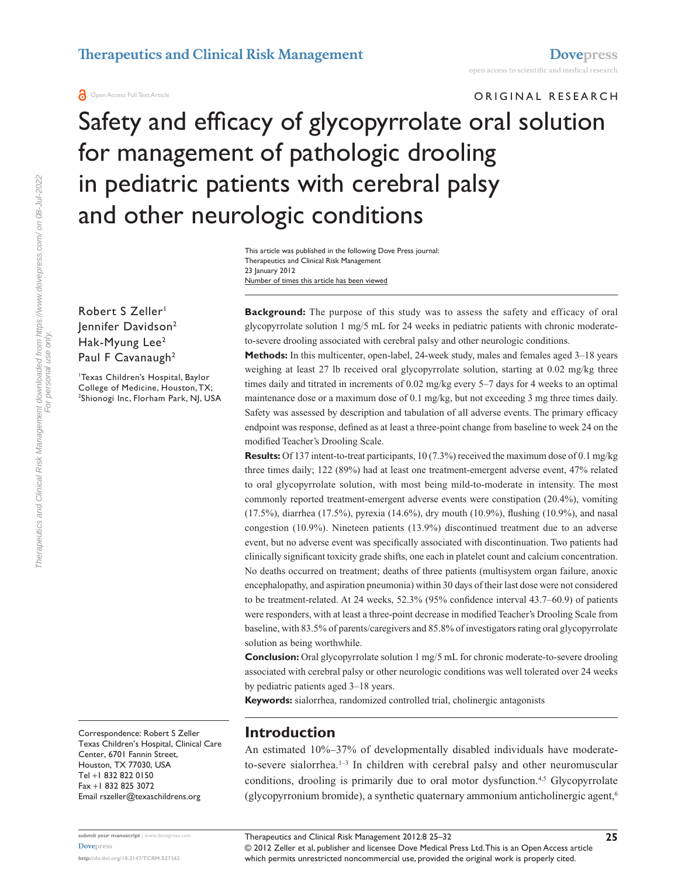**a** Open Access Full Text Article

# ORIGINAL RESEARCH Safety and efficacy of glycopyrrolate oral solution for management of pathologic drooling in pediatric patients with cerebral palsy and other neurologic conditions

Number of times this article has been viewed This article was published in the following Dove Press journal: Therapeutics and Clinical Risk Management 23 January 2012

Robert S Zeller<sup>1</sup> Jennifer Davidson2 Hak-Myung Lee<sup>2</sup> Paul F Cavanaugh<sup>2</sup>

1 Texas Children's Hospital, Baylor College of Medicine, Houston, TX; 2 <sup>2</sup>Shionogi Inc, Florham Park, NJ, USA **Background:** The purpose of this study was to assess the safety and efficacy of oral glycopyrrolate solution 1 mg/5 mL for 24 weeks in pediatric patients with chronic moderateto-severe drooling associated with cerebral palsy and other neurologic conditions.

**Methods:** In this multicenter, open-label, 24-week study, males and females aged 3–18 years weighing at least 27 lb received oral glycopyrrolate solution, starting at 0.02 mg/kg three times daily and titrated in increments of 0.02 mg/kg every 5–7 days for 4 weeks to an optimal maintenance dose or a maximum dose of 0.1 mg/kg, but not exceeding 3 mg three times daily. Safety was assessed by description and tabulation of all adverse events. The primary efficacy endpoint was response, defined as at least a three-point change from baseline to week 24 on the modified Teacher's Drooling Scale.

**Results:** Of 137 intent-to-treat participants, 10 (7.3%) received the maximum dose of 0.1 mg/kg three times daily; 122 (89%) had at least one treatment-emergent adverse event, 47% related to oral glycopyrrolate solution, with most being mild-to-moderate in intensity. The most commonly reported treatment-emergent adverse events were constipation (20.4%), vomiting (17.5%), diarrhea (17.5%), pyrexia (14.6%), dry mouth (10.9%), flushing (10.9%), and nasal congestion (10.9%). Nineteen patients (13.9%) discontinued treatment due to an adverse event, but no adverse event was specifically associated with discontinuation. Two patients had clinically significant toxicity grade shifts, one each in platelet count and calcium concentration. No deaths occurred on treatment; deaths of three patients (multisystem organ failure, anoxic encephalopathy, and aspiration pneumonia) within 30 days of their last dose were not considered to be treatment-related. At 24 weeks, 52.3% (95% confidence interval 43.7–60.9) of patients were responders, with at least a three-point decrease in modified Teacher's Drooling Scale from baseline, with 83.5% of parents/caregivers and 85.8% of investigators rating oral glycopyrrolate solution as being worthwhile.

**Conclusion:** Oral glycopyrrolate solution 1 mg/5 mL for chronic moderate-to-severe drooling associated with cerebral palsy or other neurologic conditions was well tolerated over 24 weeks by pediatric patients aged 3–18 years.

**Keywords:** sialorrhea, randomized controlled trial, cholinergic antagonists

Correspondence: Robert S Zeller Texas Children's Hospital, Clinical Care Center, 6701 Fannin Street, Houston, TX 77030, USA Tel +1 832 822 0150 Fax +1 832 825 3072 Email [rszeller@texaschildrens.org](mailto:rszeller@texaschildrens.org)

**[Dovepress](www.dovepress.com)**

## **Introduction**

An estimated 10%–37% of developmentally disabled individuals have moderateto-severe sialorrhea.<sup>1-3</sup> In children with cerebral palsy and other neuromuscular conditions, drooling is primarily due to oral motor dysfunction.<sup>4,5</sup> Glycopyrrolate (glycopyrronium bromide), a synthetic quaternary ammonium anticholinergic agent,6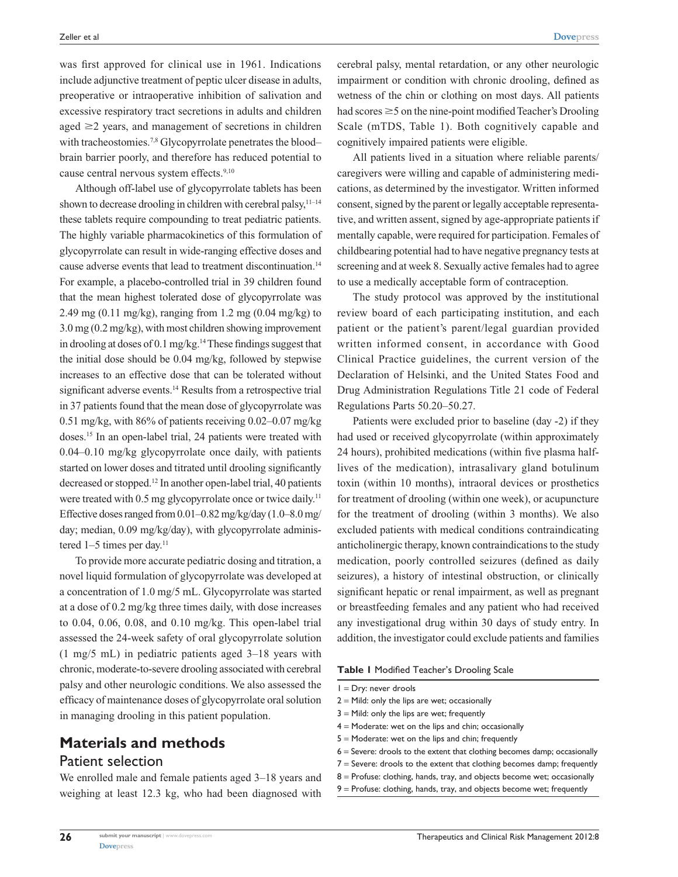was first approved for clinical use in 1961. Indications include adjunctive treatment of peptic ulcer disease in adults, preoperative or intraoperative inhibition of salivation and excessive respiratory tract secretions in adults and children aged  $\geq$ 2 years, and management of secretions in children with tracheostomies.<sup>7,8</sup> Glycopyrrolate penetrates the blood– brain barrier poorly, and therefore has reduced potential to cause central nervous system effects.<sup>9,10</sup>

Although off-label use of glycopyrrolate tablets has been shown to decrease drooling in children with cerebral palsy, $11-14$ these tablets require compounding to treat pediatric patients. The highly variable pharmacokinetics of this formulation of glycopyrrolate can result in wide-ranging effective doses and cause adverse events that lead to treatment discontinuation.<sup>14</sup> For example, a placebo-controlled trial in 39 children found that the mean highest tolerated dose of glycopyrrolate was 2.49 mg (0.11 mg/kg), ranging from 1.2 mg (0.04 mg/kg) to 3.0 mg (0.2 mg/kg), with most children showing improvement in drooling at doses of 0.1 mg/kg.<sup>14</sup> These findings suggest that the initial dose should be 0.04 mg/kg, followed by stepwise increases to an effective dose that can be tolerated without significant adverse events.14 Results from a retrospective trial in 37 patients found that the mean dose of glycopyrrolate was 0.51 mg/kg, with 86% of patients receiving 0.02–0.07 mg/kg doses.15 In an open-label trial, 24 patients were treated with 0.04–0.10 mg/kg glycopyrrolate once daily, with patients started on lower doses and titrated until drooling significantly decreased or stopped.12 In another open-label trial, 40 patients were treated with 0.5 mg glycopyrrolate once or twice daily.<sup>11</sup> Effective doses ranged from 0.01–0.82mg/kg/day (1.0–8.0mg/ day; median, 0.09 mg/kg/day), with glycopyrrolate administered  $1-5$  times per day.<sup>11</sup>

To provide more accurate pediatric dosing and titration, a novel liquid formulation of glycopyrrolate was developed at a concentration of 1.0 mg/5 mL. Glycopyrrolate was started at a dose of 0.2 mg/kg three times daily, with dose increases to 0.04, 0.06, 0.08, and 0.10 mg/kg. This open-label trial assessed the 24-week safety of oral glycopyrrolate solution (1 mg/5 mL) in pediatric patients aged 3–18 years with chronic, moderate-to-severe drooling associated with cerebral palsy and other neurologic conditions. We also assessed the efficacy of maintenance doses of glycopyrrolate oral solution in managing drooling in this patient population.

# **Materials and methods** Patient selection

We enrolled male and female patients aged 3–18 years and weighing at least 12.3 kg, who had been diagnosed with cerebral palsy, mental retardation, or any other neurologic impairment or condition with chronic drooling, defined as wetness of the chin or clothing on most days. All patients had scores  $\geq$  5 on the nine-point modified Teacher's Drooling Scale (mTDS, Table 1). Both cognitively capable and cognitively impaired patients were eligible.

All patients lived in a situation where reliable parents/ caregivers were willing and capable of administering medications, as determined by the investigator. Written informed consent, signed by the parent or legally acceptable representative, and written assent, signed by age-appropriate patients if mentally capable, were required for participation. Females of childbearing potential had to have negative pregnancy tests at screening and at week 8. Sexually active females had to agree to use a medically acceptable form of contraception.

The study protocol was approved by the institutional review board of each participating institution, and each patient or the patient's parent/legal guardian provided written informed consent, in accordance with Good Clinical Practice guidelines, the current version of the Declaration of Helsinki, and the United States Food and Drug Administration Regulations Title 21 code of Federal Regulations Parts 50.20–50.27.

Patients were excluded prior to baseline (day -2) if they had used or received glycopyrrolate (within approximately 24 hours), prohibited medications (within five plasma halflives of the medication), intrasalivary gland botulinum toxin (within 10 months), intraoral devices or prosthetics for treatment of drooling (within one week), or acupuncture for the treatment of drooling (within 3 months). We also excluded patients with medical conditions contraindicating anticholinergic therapy, known contraindications to the study medication, poorly controlled seizures (defined as daily seizures), a history of intestinal obstruction, or clinically significant hepatic or renal impairment, as well as pregnant or breastfeeding females and any patient who had received any investigational drug within 30 days of study entry. In addition, the investigator could exclude patients and families

#### **Table 1** Modified Teacher's Drooling Scale

- 1 = Dry: never drools
- $2 =$  Mild: only the lips are wet; occasionally
- $3$  = Mild: only the lips are wet; frequently
- 4 = Moderate: wet on the lips and chin; occasionally
- $5$  = Moderate: wet on the lips and chin; frequently
- $6$  = Severe: drools to the extent that clothing becomes damp; occasionally
- 7 = Severe: drools to the extent that clothing becomes damp; frequently
- $8$  = Profuse: clothing, hands, tray, and objects become wet; occasionally
- 9 = Profuse: clothing, hands, tray, and objects become wet; frequently

**26**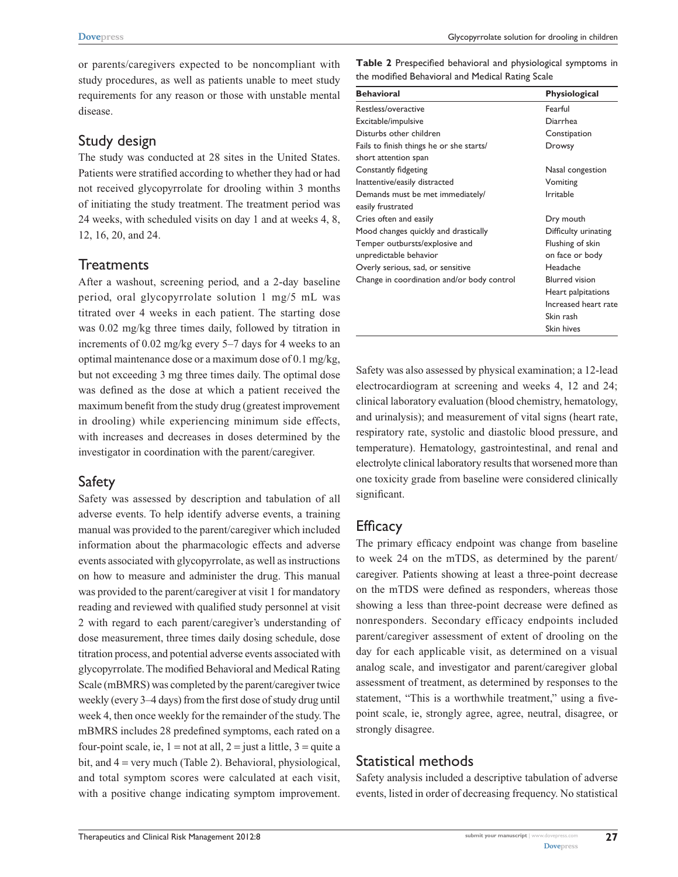or parents/caregivers expected to be noncompliant with study procedures, as well as patients unable to meet study requirements for any reason or those with unstable mental disease.

#### Study design

The study was conducted at 28 sites in the United States. Patients were stratified according to whether they had or had not received glycopyrrolate for drooling within 3 months of initiating the study treatment. The treatment period was 24 weeks, with scheduled visits on day 1 and at weeks 4, 8, 12, 16, 20, and 24.

## **Treatments**

After a washout, screening period, and a 2-day baseline period, oral glycopyrrolate solution 1 mg/5 mL was titrated over 4 weeks in each patient. The starting dose was 0.02 mg/kg three times daily, followed by titration in increments of 0.02 mg/kg every 5–7 days for 4 weeks to an optimal maintenance dose or a maximum dose of 0.1 mg/kg, but not exceeding 3 mg three times daily. The optimal dose was defined as the dose at which a patient received the maximum benefit from the study drug (greatest improvement in drooling) while experiencing minimum side effects, with increases and decreases in doses determined by the investigator in coordination with the parent/caregiver.

#### Safety

Safety was assessed by description and tabulation of all adverse events. To help identify adverse events, a training manual was provided to the parent/caregiver which included information about the pharmacologic effects and adverse events associated with glycopyrrolate, as well as instructions on how to measure and administer the drug. This manual was provided to the parent/caregiver at visit 1 for mandatory reading and reviewed with qualified study personnel at visit 2 with regard to each parent/caregiver's understanding of dose measurement, three times daily dosing schedule, dose titration process, and potential adverse events associated with glycopyrrolate. The modified Behavioral and Medical Rating Scale (mBMRS) was completed by the parent/caregiver twice weekly (every 3–4 days) from the first dose of study drug until week 4, then once weekly for the remainder of the study. The mBMRS includes 28 predefined symptoms, each rated on a four-point scale, ie,  $1 = not$  at all,  $2 = just$  a little,  $3 = quite$  a bit, and 4 = very much (Table 2). Behavioral, physiological, and total symptom scores were calculated at each visit, with a positive change indicating symptom improvement.

**Table 2** Prespecified behavioral and physiological symptoms in the modified Behavioral and Medical Rating Scale

| <b>Behavioral</b>                          | Physiological         |
|--------------------------------------------|-----------------------|
| Restless/overactive                        | Fearful               |
| Excitable/impulsive                        | Diarrhea              |
| Disturbs other children                    | Constipation          |
| Fails to finish things he or she starts/   | Drowsy                |
| short attention span                       |                       |
| Constantly fidgeting                       | Nasal congestion      |
| Inattentive/easily distracted              | Vomiting              |
| Demands must be met immediately/           | Irritable             |
| easily frustrated                          |                       |
| Cries often and easily                     | Dry mouth             |
| Mood changes quickly and drastically       | Difficulty urinating  |
| Temper outbursts/explosive and             | Flushing of skin      |
| unpredictable behavior                     | on face or body       |
| Overly serious, sad, or sensitive          | Headache              |
| Change in coordination and/or body control | <b>Blurred</b> vision |
|                                            | Heart palpitations    |
|                                            | Increased heart rate  |
|                                            | Skin rash             |
|                                            | Skin hives            |

Safety was also assessed by physical examination; a 12-lead electrocardiogram at screening and weeks 4, 12 and 24; clinical laboratory evaluation (blood chemistry, hematology, and urinalysis); and measurement of vital signs (heart rate, respiratory rate, systolic and diastolic blood pressure, and temperature). Hematology, gastrointestinal, and renal and electrolyte clinical laboratory results that worsened more than one toxicity grade from baseline were considered clinically significant.

## **Efficacy**

The primary efficacy endpoint was change from baseline to week 24 on the mTDS, as determined by the parent/ caregiver. Patients showing at least a three-point decrease on the mTDS were defined as responders, whereas those showing a less than three-point decrease were defined as nonresponders. Secondary efficacy endpoints included parent/caregiver assessment of extent of drooling on the day for each applicable visit, as determined on a visual analog scale, and investigator and parent/caregiver global assessment of treatment, as determined by responses to the statement, "This is a worthwhile treatment," using a fivepoint scale, ie, strongly agree, agree, neutral, disagree, or strongly disagree.

# Statistical methods

Safety analysis included a descriptive tabulation of adverse events, listed in order of decreasing frequency. No statistical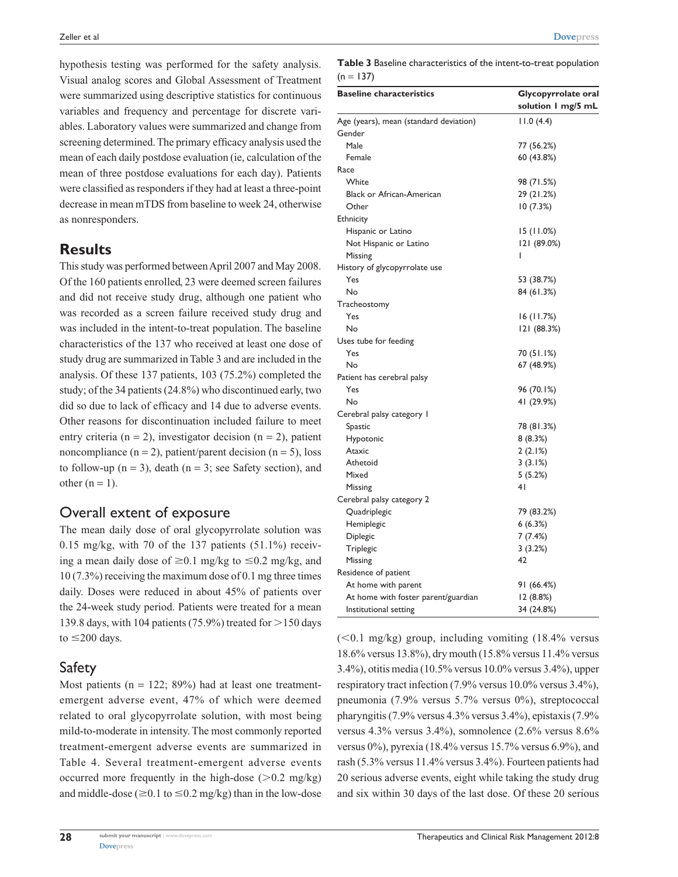hypothesis testing was performed for the safety analysis. Visual analog scores and Global Assessment of Treatment were summarized using descriptive statistics for continuous variables and frequency and percentage for discrete variables. Laboratory values were summarized and change from screening determined. The primary efficacy analysis used the mean of each daily postdose evaluation (ie, calculation of the mean of three postdose evaluations for each day). Patients were classified as responders if they had at least a three-point decrease in mean mTDS from baseline to week 24, otherwise as nonresponders.

## **Results**

This study was performed between April 2007 and May 2008. Of the 160 patients enrolled, 23 were deemed screen failures and did not receive study drug, although one patient who was recorded as a screen failure received study drug and was included in the intent-to-treat population. The baseline characteristics of the 137 who received at least one dose of study drug are summarized in Table 3 and are included in the analysis. Of these 137 patients, 103 (75.2%) completed the study; of the 34 patients (24.8%) who discontinued early, two did so due to lack of efficacy and 14 due to adverse events. Other reasons for discontinuation included failure to meet entry criteria ( $n = 2$ ), investigator decision ( $n = 2$ ), patient noncompliance  $(n = 2)$ , patient/parent decision  $(n = 5)$ , loss to follow-up  $(n = 3)$ , death  $(n = 3)$ ; see Safety section), and other  $(n = 1)$ .

## Overall extent of exposure

The mean daily dose of oral glycopyrrolate solution was 0.15 mg/kg, with 70 of the 137 patients  $(51.1\%)$  receiving a mean daily dose of  $\geq 0.1$  mg/kg to  $\leq 0.2$  mg/kg, and 10 (7.3%) receiving the maximum dose of 0.1 mg three times daily. Doses were reduced in about 45% of patients over the 24-week study period. Patients were treated for a mean 139.8 days, with 104 patients (75.9%) treated for  $>$  150 days to  $\leq$ 200 days.

#### Safety

Most patients ( $n = 122$ ; 89%) had at least one treatmentemergent adverse event, 47% of which were deemed related to oral glycopyrrolate solution, with most being mild-to-moderate in intensity. The most commonly reported treatment-emergent adverse events are summarized in Table 4. Several treatment-emergent adverse events occurred more frequently in the high-dose  $(>0.2 \text{ mg/kg})$ and middle-dose ( $\geq$ 0.1 to  $\leq$ 0.2 mg/kg) than in the low-dose

**Table 3** Baseline characteristics of the intent-to-treat population  $(n = 137)$ 

| <b>Baseline characteristics</b>                  | Glycopyrrolate oral<br>solution I mg/5 mL |  |
|--------------------------------------------------|-------------------------------------------|--|
|                                                  |                                           |  |
| Age (years), mean (standard deviation)<br>Gender | 11.0(4.4)                                 |  |
| Male                                             | 77 (56.2%)                                |  |
| Female                                           |                                           |  |
|                                                  | 60 (43.8%)                                |  |
| Race                                             |                                           |  |
| White                                            | 98 (71.5%)                                |  |
| <b>Black or African-American</b>                 | 29 (21.2%)                                |  |
| Other                                            | 10(7.3%)                                  |  |
| Ethnicity                                        |                                           |  |
| Hispanic or Latino                               | 15 (11.0%)                                |  |
| Not Hispanic or Latino                           | 121 (89.0%)                               |  |
| Missing                                          | I                                         |  |
| History of glycopyrrolate use                    |                                           |  |
| Yes                                              | 53 (38.7%)                                |  |
| No                                               | 84 (61.3%)                                |  |
| Tracheostomy                                     |                                           |  |
| Yes                                              | 16 (11.7%)                                |  |
| No                                               | 121 (88.3%)                               |  |
| Uses tube for feeding                            |                                           |  |
| Yes                                              | 70 (51.1%)                                |  |
| No                                               | 67 (48.9%)                                |  |
| Patient has cerebral palsy                       |                                           |  |
| Yes                                              | 96 (70.1%)                                |  |
| No                                               | 41 (29.9%)                                |  |
| Cerebral palsy category I                        |                                           |  |
| Spastic                                          | 78 (81.3%)                                |  |
| Hypotonic                                        | 8(8.3%)                                   |  |
| Ataxic                                           | 2(2.1%)                                   |  |
| Athetoid                                         | 3(3.1%)                                   |  |
| Mixed                                            | 5(5.2%)                                   |  |
| Missing                                          | 4 <sub>1</sub>                            |  |
| Cerebral palsy category 2                        |                                           |  |
| Quadriplegic                                     | 79 (83.2%)                                |  |
| Hemiplegic                                       | 6(6.3%)                                   |  |
| Diplegic                                         | 7(7.4%)                                   |  |
| Triplegic                                        | 3(3.2%)                                   |  |
| Missing                                          | 42                                        |  |
| Residence of patient                             |                                           |  |
| At home with parent                              | 91 (66.4%)                                |  |
| At home with foster parent/guardian              | 12 (8.8%)                                 |  |
| Institutional setting                            | 34 (24.8%)                                |  |
|                                                  |                                           |  |

 $(<0.1$  mg/kg) group, including vomiting  $(18.4\%$  versus 18.6% versus 13.8%), dry mouth (15.8% versus 11.4% versus 3.4%), otitis media (10.5% versus 10.0% versus 3.4%), upper respiratory tract infection (7.9% versus 10.0% versus 3.4%), pneumonia (7.9% versus 5.7% versus 0%), streptococcal pharyngitis (7.9% versus 4.3% versus 3.4%), epistaxis (7.9% versus 4.3% versus 3.4%), somnolence (2.6% versus 8.6% versus 0%), pyrexia (18.4% versus 15.7% versus 6.9%), and rash (5.3% versus 11.4% versus 3.4%). Fourteen patients had 20 serious adverse events, eight while taking the study drug and six within 30 days of the last dose. Of these 20 serious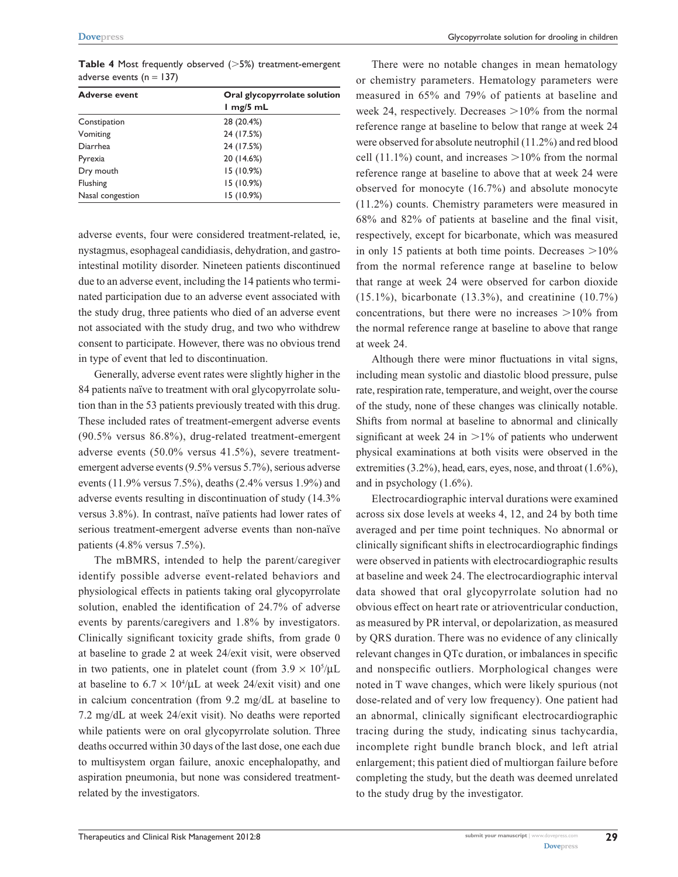**Table 4** Most frequently observed  $(>5%)$  treatment-emergent adverse events ( $n = 137$ )

| <b>Adverse event</b> | Oral glycopyrrolate solution<br>$1$ mg/5 mL |
|----------------------|---------------------------------------------|
| Constipation         | 28 (20.4%)                                  |
| Vomiting             | 24 (17.5%)                                  |
| <b>Diarrhea</b>      | 24 (17.5%)                                  |
| Pyrexia              | 20 (14.6%)                                  |
| Dry mouth            | 15(10.9%)                                   |
| Flushing             | 15 (10.9%)                                  |
| Nasal congestion     | 15 (10.9%)                                  |

adverse events, four were considered treatment-related, ie, nystagmus, esophageal candidiasis, dehydration, and gastrointestinal motility disorder. Nineteen patients discontinued due to an adverse event, including the 14 patients who terminated participation due to an adverse event associated with the study drug, three patients who died of an adverse event not associated with the study drug, and two who withdrew consent to participate. However, there was no obvious trend in type of event that led to discontinuation.

Generally, adverse event rates were slightly higher in the 84 patients naïve to treatment with oral glycopyrrolate solution than in the 53 patients previously treated with this drug. These included rates of treatment-emergent adverse events (90.5% versus 86.8%), drug-related treatment-emergent adverse events (50.0% versus 41.5%), severe treatmentemergent adverse events (9.5% versus 5.7%), serious adverse events (11.9% versus 7.5%), deaths (2.4% versus 1.9%) and adverse events resulting in discontinuation of study (14.3% versus 3.8%). In contrast, naïve patients had lower rates of serious treatment-emergent adverse events than non-naïve patients (4.8% versus 7.5%).

The mBMRS, intended to help the parent/caregiver identify possible adverse event-related behaviors and physiological effects in patients taking oral glycopyrrolate solution, enabled the identification of 24.7% of adverse events by parents/caregivers and 1.8% by investigators. Clinically significant toxicity grade shifts, from grade 0 at baseline to grade 2 at week 24/exit visit, were observed in two patients, one in platelet count (from  $3.9 \times 10^5/\mu L$ at baseline to  $6.7 \times 10^4/\mu L$  at week 24/exit visit) and one in calcium concentration (from 9.2 mg/dL at baseline to 7.2 mg/dL at week 24/exit visit). No deaths were reported while patients were on oral glycopyrrolate solution. Three deaths occurred within 30 days of the last dose, one each due to multisystem organ failure, anoxic encephalopathy, and aspiration pneumonia, but none was considered treatmentrelated by the investigators.

There were no notable changes in mean hematology or chemistry parameters. Hematology parameters were measured in 65% and 79% of patients at baseline and week 24, respectively. Decreases  $>10\%$  from the normal reference range at baseline to below that range at week 24 were observed for absolute neutrophil (11.2%) and red blood cell (11.1%) count, and increases  $>10\%$  from the normal reference range at baseline to above that at week 24 were observed for monocyte (16.7%) and absolute monocyte (11.2%) counts. Chemistry parameters were measured in 68% and 82% of patients at baseline and the final visit, respectively, except for bicarbonate, which was measured in only 15 patients at both time points. Decreases  $>10\%$ from the normal reference range at baseline to below that range at week 24 were observed for carbon dioxide (15.1%), bicarbonate (13.3%), and creatinine (10.7%) concentrations, but there were no increases  $>10\%$  from the normal reference range at baseline to above that range at week 24.

Although there were minor fluctuations in vital signs, including mean systolic and diastolic blood pressure, pulse rate, respiration rate, temperature, and weight, over the course of the study, none of these changes was clinically notable. Shifts from normal at baseline to abnormal and clinically significant at week 24 in  $>1\%$  of patients who underwent physical examinations at both visits were observed in the extremities (3.2%), head, ears, eyes, nose, and throat (1.6%), and in psychology (1.6%).

Electrocardiographic interval durations were examined across six dose levels at weeks 4, 12, and 24 by both time averaged and per time point techniques. No abnormal or clinically significant shifts in electrocardiographic findings were observed in patients with electrocardiographic results at baseline and week 24. The electrocardiographic interval data showed that oral glycopyrrolate solution had no obvious effect on heart rate or atrioventricular conduction, as measured by PR interval, or depolarization, as measured by QRS duration. There was no evidence of any clinically relevant changes in QTc duration, or imbalances in specific and nonspecific outliers. Morphological changes were noted in T wave changes, which were likely spurious (not dose-related and of very low frequency). One patient had an abnormal, clinically significant electrocardiographic tracing during the study, indicating sinus tachycardia, incomplete right bundle branch block, and left atrial enlargement; this patient died of multiorgan failure before completing the study, but the death was deemed unrelated to the study drug by the investigator.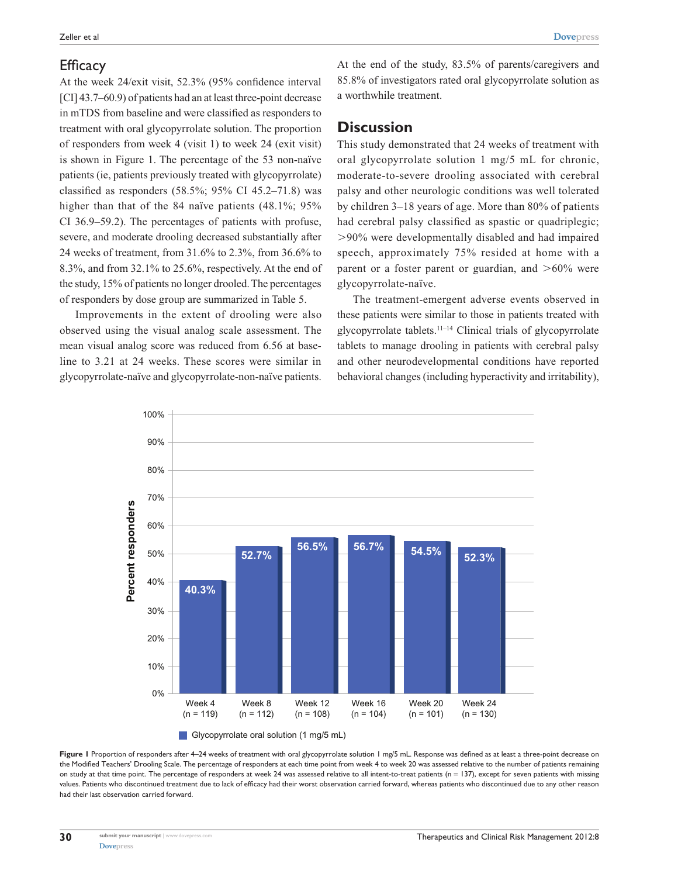#### **Efficacy**

At the week 24/exit visit, 52.3% (95% confidence interval [CI] 43.7–60.9) of patients had an at least three-point decrease in mTDS from baseline and were classified as responders to treatment with oral glycopyrrolate solution. The proportion of responders from week 4 (visit 1) to week 24 (exit visit) is shown in Figure 1. The percentage of the 53 non-naïve patients (ie, patients previously treated with glycopyrrolate) classified as responders  $(58.5\%; 95\% \text{ CI } 45.2-71.8)$  was higher than that of the 84 naïve patients (48.1%; 95% CI 36.9–59.2). The percentages of patients with profuse, severe, and moderate drooling decreased substantially after 24 weeks of treatment, from 31.6% to 2.3%, from 36.6% to 8.3%, and from 32.1% to 25.6%, respectively. At the end of the study, 15% of patients no longer drooled. The percentages of responders by dose group are summarized in Table 5.

Improvements in the extent of drooling were also observed using the visual analog scale assessment. The mean visual analog score was reduced from 6.56 at baseline to 3.21 at 24 weeks. These scores were similar in glycopyrrolate-naïve and glycopyrrolate-non-naïve patients. At the end of the study, 83.5% of parents/caregivers and 85.8% of investigators rated oral glycopyrrolate solution as a worthwhile treatment.

#### **Discussion**

This study demonstrated that 24 weeks of treatment with oral glycopyrrolate solution 1 mg/5 mL for chronic, moderate-to-severe drooling associated with cerebral palsy and other neurologic conditions was well tolerated by children 3–18 years of age. More than 80% of patients had cerebral palsy classified as spastic or quadriplegic; .90% were developmentally disabled and had impaired speech, approximately 75% resided at home with a parent or a foster parent or guardian, and  $>60\%$  were glycopyrrolate-naïve.

The treatment-emergent adverse events observed in these patients were similar to those in patients treated with glycopyrrolate tablets.11–14 Clinical trials of glycopyrrolate tablets to manage drooling in patients with cerebral palsy and other neurodevelopmental conditions have reported behavioral changes (including hyperactivity and irritability),



Figure I Proportion of responders after 4–24 weeks of treatment with oral glycopyrrolate solution 1 mg/5 mL. Response was defined as at least a three-point decrease on the Modified Teachers' Drooling Scale. The percentage of responders at each time point from week 4 to week 20 was assessed relative to the number of patients remaining on study at that time point. The percentage of responders at week 24 was assessed relative to all intent-to-treat patients (n = 137), except for seven patients with missing values. Patients who discontinued treatment due to lack of efficacy had their worst observation carried forward, whereas patients who discontinued due to any other reason had their last observation carried forward.

**30**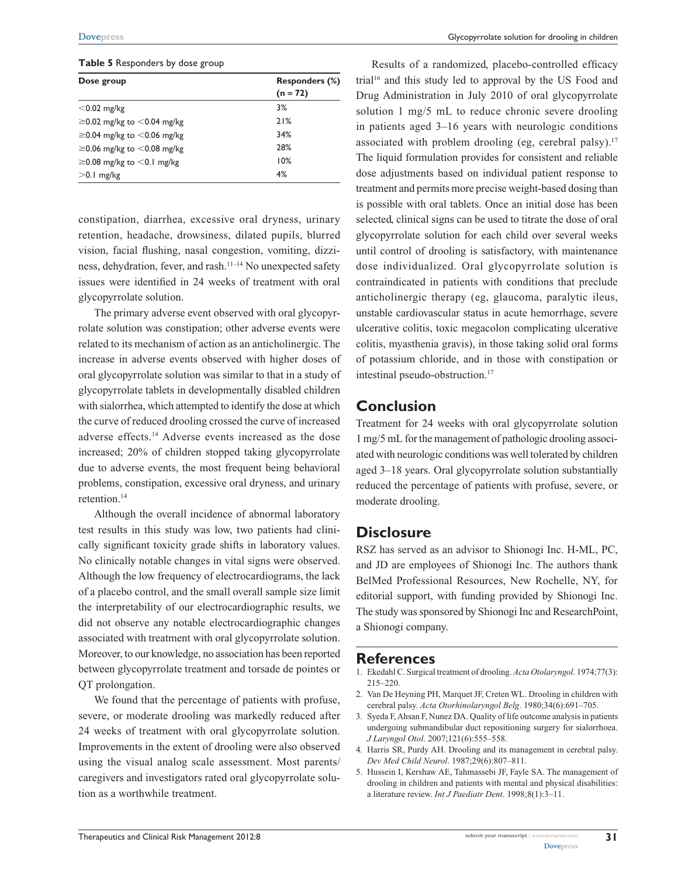#### **Table 5** Responders by dose group

| Dose group                          | Responders (%)<br>$(n = 72)$ |
|-------------------------------------|------------------------------|
| $<$ 0.02 mg/kg                      | 3%                           |
| $\geq$ 0.02 mg/kg to $<$ 0.04 mg/kg | 21%                          |
| $\geq$ 0.04 mg/kg to $<$ 0.06 mg/kg | 34%                          |
| $\geq$ 0.06 mg/kg to $<$ 0.08 mg/kg | 28%                          |
| $\geq$ 0.08 mg/kg to $<$ 0.1 mg/kg  | 10%                          |
| $>$ 0.1 mg/kg                       | 4%                           |

constipation, diarrhea, excessive oral dryness, urinary retention, headache, drowsiness, dilated pupils, blurred vision, facial flushing, nasal congestion, vomiting, dizziness, dehydration, fever, and rash.11–14 No unexpected safety issues were identified in 24 weeks of treatment with oral glycopyrrolate solution.

The primary adverse event observed with oral glycopyrrolate solution was constipation; other adverse events were related to its mechanism of action as an anticholinergic. The increase in adverse events observed with higher doses of oral glycopyrrolate solution was similar to that in a study of glycopyrrolate tablets in developmentally disabled children with sialorrhea, which attempted to identify the dose at which the curve of reduced drooling crossed the curve of increased adverse effects.14 Adverse events increased as the dose increased; 20% of children stopped taking glycopyrrolate due to adverse events, the most frequent being behavioral problems, constipation, excessive oral dryness, and urinary retention.14

Although the overall incidence of abnormal laboratory test results in this study was low, two patients had clinically significant toxicity grade shifts in laboratory values. No clinically notable changes in vital signs were observed. Although the low frequency of electrocardiograms, the lack of a placebo control, and the small overall sample size limit the interpretability of our electrocardiographic results, we did not observe any notable electrocardiographic changes associated with treatment with oral glycopyrrolate solution. Moreover, to our knowledge, no association has been reported between glycopyrrolate treatment and torsade de pointes or QT prolongation.

We found that the percentage of patients with profuse, severe, or moderate drooling was markedly reduced after 24 weeks of treatment with oral glycopyrrolate solution. Improvements in the extent of drooling were also observed using the visual analog scale assessment. Most parents/ caregivers and investigators rated oral glycopyrrolate solution as a worthwhile treatment.

Results of a randomized, placebo-controlled efficacy trial16 and this study led to approval by the US Food and Drug Administration in July 2010 of oral glycopyrrolate solution 1 mg/5 mL to reduce chronic severe drooling in patients aged 3–16 years with neurologic conditions associated with problem drooling (eg, cerebral palsy).<sup>17</sup> The liquid formulation provides for consistent and reliable dose adjustments based on individual patient response to treatment and permits more precise weight-based dosing than is possible with oral tablets. Once an initial dose has been selected, clinical signs can be used to titrate the dose of oral glycopyrrolate solution for each child over several weeks until control of drooling is satisfactory, with maintenance dose individualized. Oral glycopyrrolate solution is contraindicated in patients with conditions that preclude anticholinergic therapy (eg, glaucoma, paralytic ileus, unstable cardiovascular status in acute hemorrhage, severe ulcerative colitis, toxic megacolon complicating ulcerative colitis, myasthenia gravis), in those taking solid oral forms of potassium chloride, and in those with constipation or intestinal pseudo-obstruction.17

#### **Conclusion**

Treatment for 24 weeks with oral glycopyrrolate solution 1 mg/5 mL for the management of pathologic drooling associated with neurologic conditions was well tolerated by children aged 3–18 years. Oral glycopyrrolate solution substantially reduced the percentage of patients with profuse, severe, or moderate drooling.

#### **Disclosure**

RSZ has served as an advisor to Shionogi Inc. H-ML, PC, and JD are employees of Shionogi Inc. The authors thank BelMed Professional Resources, New Rochelle, NY, for editorial support, with funding provided by Shionogi Inc. The study was sponsored by Shionogi Inc and ResearchPoint, a Shionogi company.

#### **References**

- 1. Ekedahl C. Surgical treatment of drooling. *Acta Otolaryngol*. 1974;77(3): 215–220.
- 2. Van De Heyning PH, Marquet JF, Creten WL. Drooling in children with cerebral palsy. *Acta Otorhinolaryngol Belg*. 1980;34(6):691–705.
- 3. Syeda F, Ahsan F, Nunez DA. Quality of life outcome analysis in patients undergoing submandibular duct repositioning surgery for sialorrhoea. *J Laryngol Otol*. 2007;121(6):555–558.
- 4. Harris SR, Purdy AH. Drooling and its management in cerebral palsy. *Dev Med Child Neurol*. 1987;29(6):807–811.
- 5. Hussein I, Kershaw AE, Tahmassebi JF, Fayle SA. The management of drooling in children and patients with mental and physical disabilities: a literature review. *Int J Paediatr Dent*. 1998;8(1):3–11.